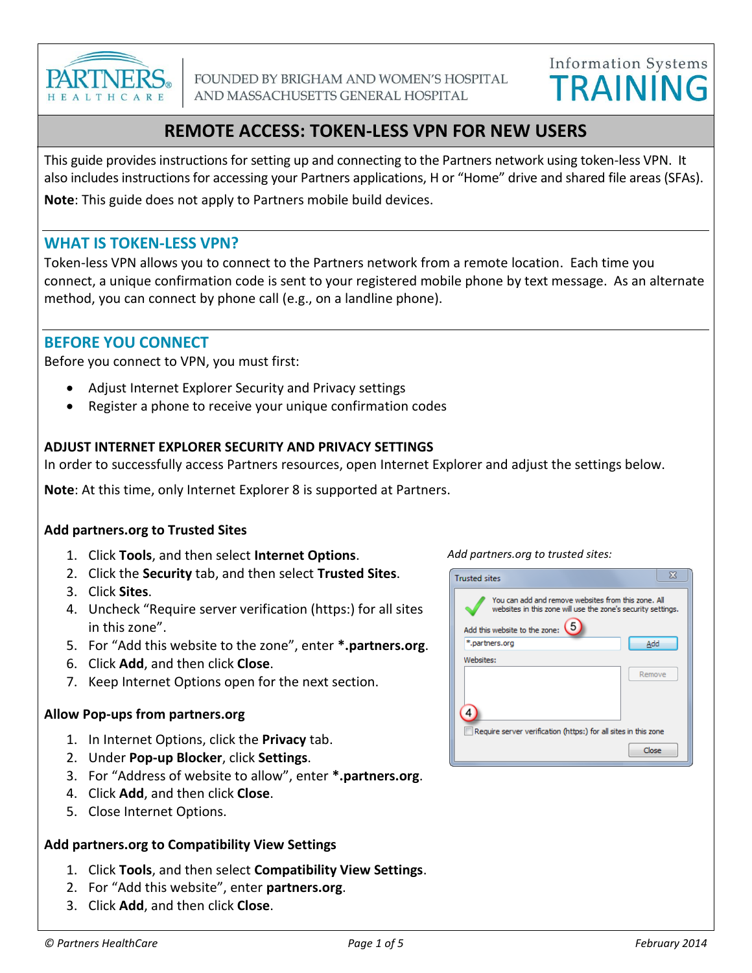

FOUNDED BY BRIGHAM AND WOMEN'S HOSPITAL AND MASSACHUSETTS GENERAL HOSPITAL

# **Information Systems RAIN**

### **REMOTE ACCESS: TOKEN-LESS VPN FOR NEW USERS**

This guide provides instructions for setting up and connecting to the Partners network using token-less VPN. It also includes instructions for accessing your Partners applications, H or "Home" drive and shared file areas (SFAs).

**Note**: This guide does not apply to Partners mobile build devices.

### **WHAT IS TOKEN-LESS VPN?**

Token-less VPN allows you to connect to the Partners network from a remote location. Each time you connect, a unique confirmation code is sent to your registered mobile phone by text message. As an alternate method, you can connect by phone call (e.g., on a landline phone).

### **BEFORE YOU CONNECT**

Before you connect to VPN, you must first:

- Adjust Internet Explorer Security and Privacy settings
- Register a phone to receive your unique confirmation codes

### **ADJUST INTERNET EXPLORER SECURITY AND PRIVACY SETTINGS**

In order to successfully access Partners resources, open Internet Explorer and adjust the settings below.

**Note**: At this time, only Internet Explorer 8 is supported at Partners.

### **Add partners.org to Trusted Sites**

- 1. Click **Tools**, and then select **Internet Options**.
- 2. Click the **Security** tab, and then select **Trusted Sites**.
- 3. Click **Sites**.
- 4. Uncheck "Require server verification (https:) for all sites in this zone".
- 5. For "Add this website to the zone", enter **\*.partners.org**.
- 6. Click **Add**, and then click **Close**.
- 7. Keep Internet Options open for the next section.

### **Allow Pop-ups from partners.org**

- 1. In Internet Options, click the **Privacy** tab.
- 2. Under **Pop-up Blocker**, click **Settings**.
- 3. For "Address of website to allow", enter **\*.partners.org**.
- 4. Click **Add**, and then click **Close**.
- 5. Close Internet Options.

### **Add partners.org to Compatibility View Settings**

- 1. Click **Tools**, and then select **Compatibility View Settings**.
- 2. For "Add this website", enter **partners.org**.
- 3. Click **Add**, and then click **Close**.

*Add partners.org to trusted sites:*

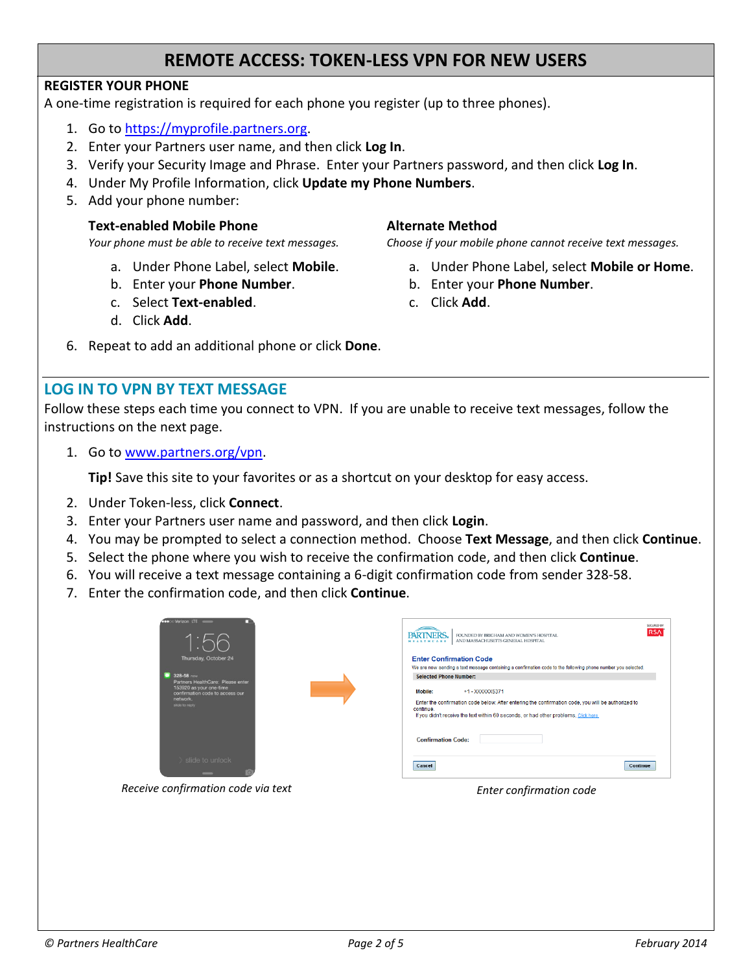#### **REGISTER YOUR PHONE**

A one-time registration is required for each phone you register (up to three phones).

- 1. Go t[o https://myprofile.partners.org](https://myprofile.partners.org/).
- 2. Enter your Partners user name, and then click **Log In**.
- 3. Verify your Security Image and Phrase. Enter your Partners password, and then click **Log In**.
- 4. Under My Profile Information, click **Update my Phone Numbers**.
- 5. Add your phone number:

#### **Text-enabled Mobile Phone**

*Your phone must be able to receive text messages.*

- a. Under Phone Label, select **Mobile**.
- b. Enter your **Phone Number**.
- c. Select **Text-enabled**.
- d. Click **Add**.

#### **Alternate Method**

*Choose if your mobile phone cannot receive text messages.*

- a. Under Phone Label, select **Mobile or Home**.
- b. Enter your **Phone Number**.
- c. Click **Add**.
- 6. Repeat to add an additional phone or click **Done**.

### **LOG IN TO VPN BY TEXT MESSAGE**

Follow these steps each time you connect to VPN. If you are unable to receive text messages, follow the instructions on the next page.

1. Go t[o www.partners.org/vpn.](http://www.partners.org/vpn)

**Tip!** Save this site to your favorites or as a shortcut on your desktop for easy access.

- 2. Under Token-less, click **Connect**.
- 3. Enter your Partners user name and password, and then click **Login**.
- 4. You may be prompted to select a connection method. Choose **Text Message**, and then click **Continue**.
- 5. Select the phone where you wish to receive the confirmation code, and then click **Continue**.
- 6. You will receive a text message containing a 6-digit confirmation code from sender 328-58.
- 7. Enter the confirmation code, and then click **Continue**.

| <b>ABBOO</b> Verizon LTE                                                                                                      | SECURED BY<br><b>RSA</b><br>FOUNDED BY BRIGHAM AND WOMEN'S HOSPITAL<br>AND MASSACHUSETTS GENERAL HOSPITAL<br><b>HEALTHCARE</b>                                                                                                               |
|-------------------------------------------------------------------------------------------------------------------------------|----------------------------------------------------------------------------------------------------------------------------------------------------------------------------------------------------------------------------------------------|
| Thursday, October 24                                                                                                          | <b>Enter Confirmation Code</b>                                                                                                                                                                                                               |
|                                                                                                                               | We are now sending a text message containing a confirmation code to the following phone number you selected.                                                                                                                                 |
| 328-58 now                                                                                                                    | <b>Selected Phone Number:</b>                                                                                                                                                                                                                |
| Partners HealthCare: Please enter<br>153920 as your one-time<br>confirmation code to access our<br>network.<br>slide to reply | +1 - XXXXXX5371<br><b>Mobile:</b><br>Enter the confirmation code below. After entering the confirmation code, you will be authorized to<br>continue.<br>If you didn't receive the text within 60 seconds, or had other problems, Click here, |
|                                                                                                                               | <b>Confirmation Code:</b>                                                                                                                                                                                                                    |
| slide to unlock                                                                                                               | Cancel<br>Continue                                                                                                                                                                                                                           |
| Receive confirmation code via text                                                                                            | Enter confirmation code                                                                                                                                                                                                                      |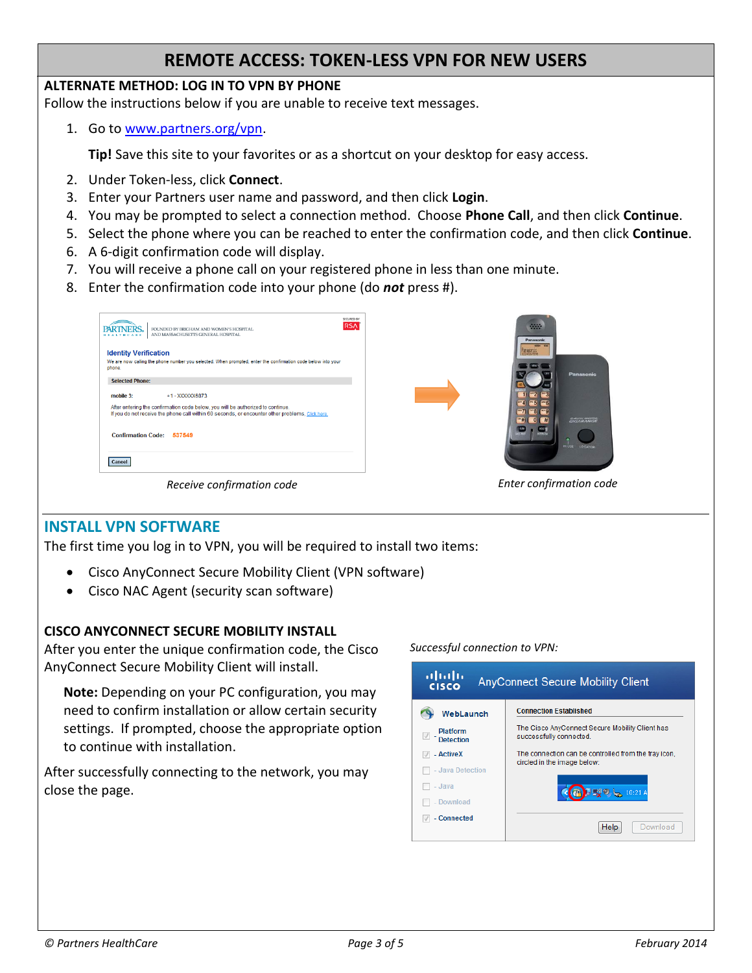### **ALTERNATE METHOD: LOG IN TO VPN BY PHONE**

Follow the instructions below if you are unable to receive text messages.

1. Go t[o www.partners.org/vpn.](http://www.partners.org/vpn)

**Tip!** Save this site to your favorites or as a shortcut on your desktop for easy access.

- 2. Under Token-less, click **Connect**.
- 3. Enter your Partners user name and password, and then click **Login**.
- 4. You may be prompted to select a connection method. Choose **Phone Call**, and then click **Continue**.
- 5. Select the phone where you can be reached to enter the confirmation code, and then click **Continue**.
- 6. A 6-digit confirmation code will display.
- 7. You will receive a phone call on your registered phone in less than one minute.
- 8. Enter the confirmation code into your phone (do *not* press #).

| FOUNDED BY BRIGHAM AND WOMEN'S HOSPITAL.<br>AND MASSACHUSETTS GENERAL HOSPITAL<br><b>HEALTHCARD</b><br><b>Identity Verification</b><br>We are now calling the phone number you selected. When prompted, enter the confirmation code below into your<br>phone. | SECURED BY<br><b>RSA</b> | $\sim$<br>Panasonic<br>ranasonic<br>Panasonic                                                                                                                                         |
|---------------------------------------------------------------------------------------------------------------------------------------------------------------------------------------------------------------------------------------------------------------|--------------------------|---------------------------------------------------------------------------------------------------------------------------------------------------------------------------------------|
| <b>Selected Phone:</b>                                                                                                                                                                                                                                        |                          |                                                                                                                                                                                       |
| mobile 3:<br>+1 - XXXXXX6873<br>After entering the confirmation code below, you will be authorized to continue.<br>If you do not receive the phone call within 60 seconds, or encounter other problems, Click here.<br><b>Confirmation Code:</b><br>537549    |                          | $-2$<br>O(12)<br>$-4$ <sup>2</sup> $-5$ <sup>2</sup><br><b>227 (228)</b> [229]<br><b>CIGARANGE</b><br>$*$ 0 $*$<br>RASK<br>HOLD Y<br>CALL WHIT<br>ATTROOM<br><b>IN USE</b><br>LOCATOR |
| Cancel                                                                                                                                                                                                                                                        |                          |                                                                                                                                                                                       |
| Receive confirmation code                                                                                                                                                                                                                                     |                          | Enter confirmation code                                                                                                                                                               |

### **INSTALL VPN SOFTWARE**

The first time you log in to VPN, you will be required to install two items:

- Cisco AnyConnect Secure Mobility Client (VPN software)
- Cisco NAC Agent (security scan software)

### **CISCO ANYCONNECT SECURE MOBILITY INSTALL**

After you enter the unique confirmation code, the Cisco AnyConnect Secure Mobility Client will install.

**Note:** Depending on your PC configuration, you may need to confirm installation or allow certain security settings. If prompted, choose the appropriate option to continue with installation.

After successfully connecting to the network, you may close the page.

*Successful connection to VPN:*

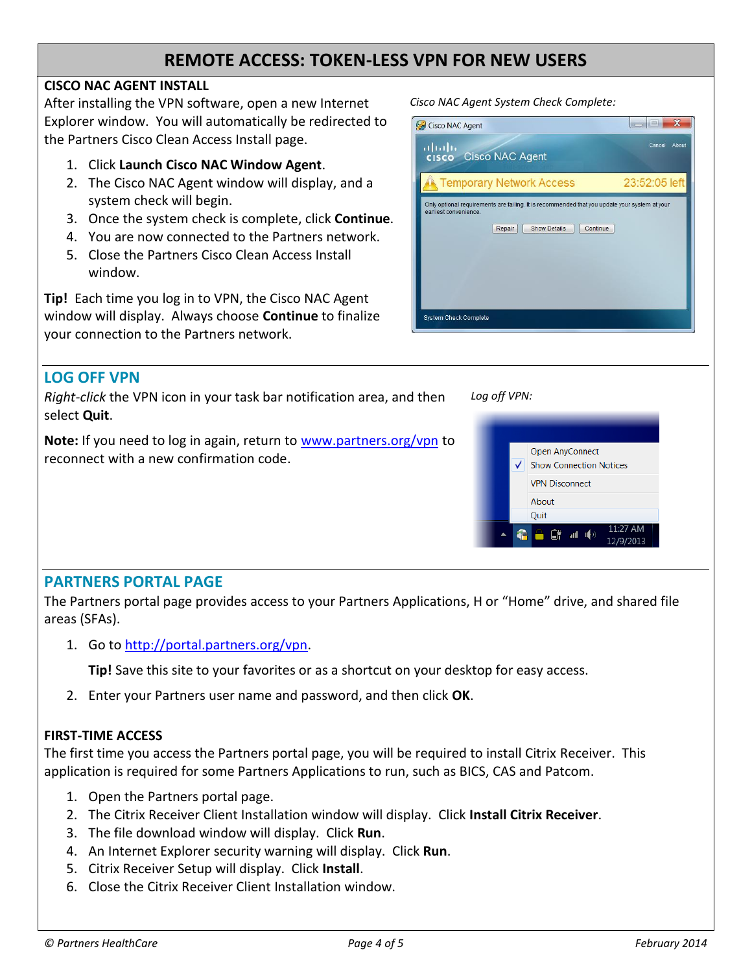### **CISCO NAC AGENT INSTALL**

After installing the VPN software, open a new Internet Explorer window. You will automatically be redirected to the Partners Cisco Clean Access Install page.

- 1. Click **Launch Cisco NAC Window Agent**.
- 2. The Cisco NAC Agent window will display, and a system check will begin.
- 3. Once the system check is complete, click **Continue**.
- 4. You are now connected to the Partners network.
- 5. Close the Partners Cisco Clean Access Install window.

**Tip!** Each time you log in to VPN, the Cisco NAC Agent window will display. Always choose **Continue** to finalize your connection to the Partners network.

**LOG OFF VPN**

*Right-click* the VPN icon in your task bar notification area, and then select **Quit**. *Log off VPN:*

**Note:** If you need to log in again, return to [www.partners.org/vpn](http://www.partners.org/vpn) to reconnect with a new confirmation code.

### **PARTNERS PORTAL PAGE**

The Partners portal page provides access to your Partners Applications, H or "Home" drive, and shared file areas (SFAs).

1. Go t[o http://portal.partners.org/vpn.](http://portal.partners.org/vpn)

**Tip!** Save this site to your favorites or as a shortcut on your desktop for easy access.

2. Enter your Partners user name and password, and then click **OK**.

### **FIRST-TIME ACCESS**

The first time you access the Partners portal page, you will be required to install Citrix Receiver. This application is required for some Partners Applications to run, such as BICS, CAS and Patcom.

- 1. Open the Partners portal page.
- 2. The Citrix Receiver Client Installation window will display. Click **Install Citrix Receiver**.
- 3. The file download window will display. Click **Run**.
- 4. An Internet Explorer security warning will display. Click **Run**.
- 5. Citrix Receiver Setup will display. Click **Install**.
- 6. Close the Citrix Receiver Client Installation window.

Open AnyConnect √ Show Connection Notices **VPN Disconnect** About Quit **●●■■●** 

*Cisco NAC Agent System Check Complete:* **Cisco NAC Agent**  $\overline{\phantom{a}}$ Cancel About alulu cisco Cisco NAC Agent Temporary Network Access 23:52:05 left Only optional requirements are failing. It is recommended that you update your system at your<br>earliest convenience. Repair Show Details Continue

System Check Complete